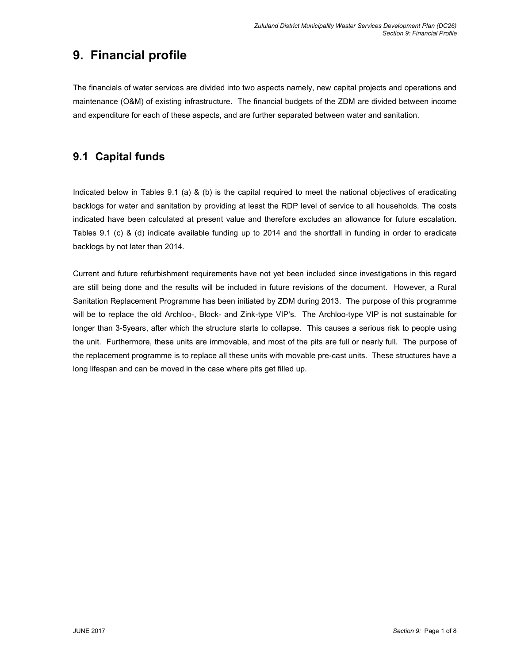# 9. Financial profile

The financials of water services are divided into two aspects namely, new capital projects and operations and maintenance (O&M) of existing infrastructure. The financial budgets of the ZDM are divided between income and expenditure for each of these aspects, and are further separated between water and sanitation.

### 9.1 Capital funds

Indicated below in Tables 9.1 (a) & (b) is the capital required to meet the national objectives of eradicating backlogs for water and sanitation by providing at least the RDP level of service to all households. The costs indicated have been calculated at present value and therefore excludes an allowance for future escalation. Tables 9.1 (c) & (d) indicate available funding up to 2014 and the shortfall in funding in order to eradicate backlogs by not later than 2014.

Current and future refurbishment requirements have not yet been included since investigations in this regard are still being done and the results will be included in future revisions of the document. However, a Rural Sanitation Replacement Programme has been initiated by ZDM during 2013. The purpose of this programme will be to replace the old Archloo-, Block- and Zink-type VIP's. The Archloo-type VIP is not sustainable for longer than 3-5years, after which the structure starts to collapse. This causes a serious risk to people using the unit. Furthermore, these units are immovable, and most of the pits are full or nearly full. The purpose of the replacement programme is to replace all these units with movable pre-cast units. These structures have a long lifespan and can be moved in the case where pits get filled up.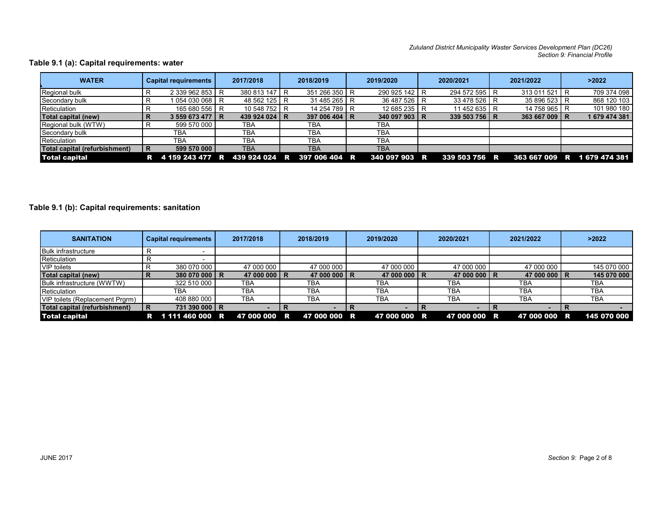#### Table 9.1 (a): Capital requirements: water

| <b>WATER</b>                                                                                                                                                                                                                                 | R<br>R<br>R<br>$\mathsf{R}$<br>R | <b>Capital requirements</b><br>2 339 962 853 R<br>1 054 030 068 R<br>165 680 556 R<br>3 559 673 477 R | 2017/2018<br>380 813 147 R<br>48 562 125 R<br>10 548 752 R | 2018/2019<br>351 266 350 R<br>31 485 265 R    |   | 2019/2020<br>290 925 142 R  | Zululand District Municipality Waster Services Development Plan (DC26)<br>2020/2021<br>294 572 595 R |                | 2021/2022                   | Section 9: Financial Profile<br>>2022 |
|----------------------------------------------------------------------------------------------------------------------------------------------------------------------------------------------------------------------------------------------|----------------------------------|-------------------------------------------------------------------------------------------------------|------------------------------------------------------------|-----------------------------------------------|---|-----------------------------|------------------------------------------------------------------------------------------------------|----------------|-----------------------------|---------------------------------------|
| ible 9.1 (a): Capital requirements: water<br>Regional bulk<br>Secondary bulk<br>Reticulation<br>Total capital (new)<br>Regional bulk (WTW)<br>Secondary bulk<br>Reticulation<br><b>Total capital (refurbishment)</b><br><b>Total capital</b> |                                  |                                                                                                       |                                                            |                                               |   |                             |                                                                                                      |                |                             |                                       |
|                                                                                                                                                                                                                                              |                                  |                                                                                                       |                                                            |                                               |   |                             |                                                                                                      |                |                             |                                       |
|                                                                                                                                                                                                                                              |                                  |                                                                                                       |                                                            |                                               |   |                             |                                                                                                      |                |                             |                                       |
|                                                                                                                                                                                                                                              |                                  |                                                                                                       |                                                            |                                               |   |                             |                                                                                                      |                |                             |                                       |
|                                                                                                                                                                                                                                              |                                  |                                                                                                       |                                                            |                                               |   |                             |                                                                                                      |                |                             |                                       |
|                                                                                                                                                                                                                                              |                                  |                                                                                                       |                                                            |                                               |   |                             |                                                                                                      |                |                             |                                       |
|                                                                                                                                                                                                                                              |                                  |                                                                                                       |                                                            |                                               |   |                             |                                                                                                      |                |                             |                                       |
|                                                                                                                                                                                                                                              |                                  |                                                                                                       |                                                            |                                               |   |                             |                                                                                                      |                |                             |                                       |
|                                                                                                                                                                                                                                              |                                  |                                                                                                       |                                                            |                                               |   |                             |                                                                                                      |                |                             |                                       |
|                                                                                                                                                                                                                                              |                                  |                                                                                                       |                                                            |                                               |   |                             |                                                                                                      |                |                             |                                       |
|                                                                                                                                                                                                                                              |                                  |                                                                                                       |                                                            |                                               |   |                             |                                                                                                      |                |                             |                                       |
|                                                                                                                                                                                                                                              |                                  |                                                                                                       |                                                            |                                               |   |                             |                                                                                                      |                | 313 011 521 R               | 709 374 098                           |
|                                                                                                                                                                                                                                              |                                  |                                                                                                       |                                                            |                                               |   | 36 487 526 R                | 33 478 526 R                                                                                         |                | 35 896 523 R                | 868 120 103                           |
|                                                                                                                                                                                                                                              |                                  |                                                                                                       |                                                            |                                               |   | 12 685 235 R                | 11 452 635 R                                                                                         |                | 14 758 965 R                | 101 980 180                           |
|                                                                                                                                                                                                                                              |                                  |                                                                                                       | 439 924 024 R                                              | 14 254 789 R<br>397 006 404 R                 |   | 340 097 903 R               | 339 503 756 R                                                                                        |                | 363 667 009 R               | 1 679 474 381                         |
|                                                                                                                                                                                                                                              |                                  | 599 570 000                                                                                           |                                                            | <b>TBA</b>                                    |   | <b>TBA</b>                  |                                                                                                      |                |                             |                                       |
|                                                                                                                                                                                                                                              |                                  | <b>TBA</b>                                                                                            | TBA<br><b>TBA</b>                                          | <b>TBA</b>                                    |   | <b>TBA</b>                  |                                                                                                      |                |                             |                                       |
|                                                                                                                                                                                                                                              |                                  | <b>TBA</b>                                                                                            |                                                            |                                               |   |                             |                                                                                                      |                |                             |                                       |
|                                                                                                                                                                                                                                              |                                  |                                                                                                       | TBA                                                        | <b>TBA</b>                                    |   | <b>TBA</b>                  |                                                                                                      |                |                             |                                       |
|                                                                                                                                                                                                                                              | $\mathsf{R}$                     | 599 570 000                                                                                           | <b>TBA</b>                                                 | <b>TBA</b>                                    |   | <b>TBA</b>                  |                                                                                                      |                |                             |                                       |
|                                                                                                                                                                                                                                              |                                  |                                                                                                       |                                                            | R 4 159 243 477 R 439 924 024 R 397 006 404 R |   | 340 097 903 R               | 339 503 756 R                                                                                        |                | 363 667 009 R 1 679 474 381 |                                       |
|                                                                                                                                                                                                                                              |                                  |                                                                                                       |                                                            |                                               |   |                             |                                                                                                      |                |                             |                                       |
|                                                                                                                                                                                                                                              |                                  |                                                                                                       |                                                            |                                               |   |                             |                                                                                                      |                |                             |                                       |
|                                                                                                                                                                                                                                              |                                  |                                                                                                       |                                                            |                                               |   |                             |                                                                                                      |                |                             |                                       |
|                                                                                                                                                                                                                                              |                                  |                                                                                                       |                                                            |                                               |   |                             |                                                                                                      |                |                             |                                       |
|                                                                                                                                                                                                                                              |                                  |                                                                                                       |                                                            |                                               |   |                             |                                                                                                      |                |                             |                                       |
|                                                                                                                                                                                                                                              |                                  |                                                                                                       |                                                            |                                               |   |                             |                                                                                                      |                |                             |                                       |
| ble 9.1 (b): Capital requirements: sanitation                                                                                                                                                                                                |                                  |                                                                                                       |                                                            |                                               |   |                             |                                                                                                      |                |                             |                                       |
|                                                                                                                                                                                                                                              |                                  |                                                                                                       |                                                            |                                               |   |                             |                                                                                                      |                |                             |                                       |
|                                                                                                                                                                                                                                              |                                  |                                                                                                       |                                                            |                                               |   |                             |                                                                                                      |                |                             |                                       |
|                                                                                                                                                                                                                                              |                                  |                                                                                                       |                                                            |                                               |   |                             |                                                                                                      |                |                             |                                       |
| <b>SANITATION</b>                                                                                                                                                                                                                            |                                  | <b>Capital requirements</b>                                                                           | 2017/2018                                                  | 2018/2019                                     |   | 2019/2020                   | 2020/2021                                                                                            |                | 2021/2022                   | >2022                                 |
|                                                                                                                                                                                                                                              |                                  |                                                                                                       |                                                            |                                               |   |                             |                                                                                                      |                |                             |                                       |
| <b>Bulk infrastructure</b>                                                                                                                                                                                                                   | R                                | $\sim$                                                                                                |                                                            |                                               |   |                             |                                                                                                      |                |                             |                                       |
| Reticulation                                                                                                                                                                                                                                 | $\mathsf{R}$                     | $\sim$                                                                                                |                                                            |                                               |   |                             |                                                                                                      |                |                             |                                       |
| <b>VIP</b> toilets                                                                                                                                                                                                                           | R                                | 380 070 000                                                                                           | 47 000 000                                                 | 47 000 000                                    |   | 47 000 000                  | 47 000 000                                                                                           |                | 47 000 000                  | 145 070 000                           |
| <b>Total capital (new)</b>                                                                                                                                                                                                                   | $\mathsf{R}$                     | 380 070 000 R                                                                                         | 47 000 000 R                                               | 47 000 000 R                                  |   | 47 000 000 R                | 47 000 000 R                                                                                         |                | 47 000 000 R                | 145 070 000                           |
| Bulk infrastructure (WWTW)                                                                                                                                                                                                                   |                                  | 322 510 000                                                                                           | TBA                                                        | <b>TBA</b>                                    |   | <b>TBA</b>                  | <b>TBA</b>                                                                                           |                | TBA                         | TBA                                   |
| Reticulation                                                                                                                                                                                                                                 |                                  | <b>TBA</b>                                                                                            | <b>TBA</b>                                                 | <b>TBA</b>                                    |   | <b>TBA</b>                  | <b>TBA</b>                                                                                           |                | <b>TBA</b>                  | <b>TBA</b>                            |
|                                                                                                                                                                                                                                              |                                  |                                                                                                       |                                                            |                                               |   |                             |                                                                                                      |                |                             |                                       |
| VIP toilets (Replacement Prgrm)                                                                                                                                                                                                              |                                  | 408 880 000                                                                                           | <b>TBA</b>                                                 | <b>TBA</b>                                    |   | <b>TBA</b>                  | <b>TBA</b>                                                                                           |                | <b>TBA</b>                  | <b>TBA</b>                            |
| <b>Total capital (refurbishment)</b>                                                                                                                                                                                                         | R                                | 731 390 000 R                                                                                         | $\sim$                                                     | R<br>$\sim$                                   | R | $\overline{R}$<br>$\sim 10$ | $\sim$                                                                                               | $\overline{R}$ | $-$ R                       |                                       |
| <b>Total capital</b>                                                                                                                                                                                                                         |                                  |                                                                                                       | R 1111 460 000 R 47 000 000 R                              | 47 000 000 R                                  |   | 47 000 000 R                | 47 000 000 R                                                                                         |                | 47 000 000 R                | 145 070 000                           |

#### Table 9.1 (b): Capital requirements: sanitation

|                                                                                                                                                                                 |             | Capital requirements                          | 2017/2018                  |                | 2018/2019                  |   | 2019/2020                     | 2020/2021     |   | 2021/2022     |   | >2022                       |
|---------------------------------------------------------------------------------------------------------------------------------------------------------------------------------|-------------|-----------------------------------------------|----------------------------|----------------|----------------------------|---|-------------------------------|---------------|---|---------------|---|-----------------------------|
| Regional bulk                                                                                                                                                                   |             | 2 339 962 853 R                               | 380 813 147 R              |                | 351 266 350 R              |   | 290 925 142 R                 | 294 572 595 R |   | 313 011 521 R |   | 709 374 098                 |
| Secondary bulk                                                                                                                                                                  | R           | 1 054 030 068 R                               | 48 562 125 R               |                | 31 485 265 R               |   | 36 487 526 R                  | 33 478 526 R  |   | 35 896 523 R  |   | 868 120 103                 |
| Reticulation                                                                                                                                                                    | R.          | 165 680 556 R                                 | 10 548 752 R               |                | 14 254 789 R               |   | 12 685 235 R                  | 11 452 635 R  |   | 14 758 965 R  |   | 101 980 180                 |
| <b>Total capital (new)</b>                                                                                                                                                      | R           | 3 559 673 477 R                               | 439 924 024 R              |                | 397 006 404   R            |   | 340 097 903   R               | 339 503 756 R |   | 363 667 009 R |   | 1679 474 381                |
| Regional bulk (WTW)                                                                                                                                                             | R           | 599 570 000                                   | <b>TBA</b>                 |                | <b>TBA</b>                 |   | <b>TBA</b>                    |               |   |               |   |                             |
| Secondary bulk                                                                                                                                                                  |             | <b>TBA</b>                                    | <b>TBA</b>                 |                | <b>TBA</b>                 |   | <b>TBA</b>                    |               |   |               |   |                             |
| Reticulation                                                                                                                                                                    |             | <b>TBA</b>                                    | <b>TBA</b>                 |                | <b>TBA</b>                 |   | TBA                           |               |   |               |   |                             |
| Total capital (refurbishment)                                                                                                                                                   | R           | 599 570 000                                   | <b>TBA</b>                 |                | <b>TBA</b>                 |   | <b>TBA</b>                    |               |   |               |   |                             |
| <b>Total capital</b>                                                                                                                                                            |             | R 4 159 243 477 R 439 924 024 R 397 006 404 R |                            |                |                            |   | 340 097 903 R                 | 339 503 756 R |   |               |   | 363 667 009 R 1 679 474 381 |
|                                                                                                                                                                                 |             |                                               |                            |                |                            |   |                               |               |   |               |   |                             |
| ble 9.1 (b): Capital requirements: sanitation                                                                                                                                   |             |                                               |                            |                |                            |   |                               |               |   |               |   |                             |
| <b>SANITATION</b>                                                                                                                                                               |             | <b>Capital requirements</b>                   | 2017/2018                  |                | 2018/2019                  |   | 2019/2020                     | 2020/2021     |   | 2021/2022     |   | >2022                       |
|                                                                                                                                                                                 | R           | $\sim$                                        |                            |                |                            |   |                               |               |   |               |   |                             |
|                                                                                                                                                                                 | R           |                                               |                            |                |                            |   |                               |               |   |               |   |                             |
|                                                                                                                                                                                 | R           | 380 070 000                                   | 47 000 000                 |                | 47 000 000                 |   | 47 000 000                    | 47 000 000    |   | 47 000 000    |   | 145 070 000                 |
|                                                                                                                                                                                 | $\mathbf R$ | 380 070 000 R                                 | 47 000 000 R               |                | 47 000 000 R               |   | 47 000 000 R                  | 47 000 000 R  |   | 47 000 000 R  |   | 145 070 000                 |
|                                                                                                                                                                                 |             | 322 510 000                                   | <b>TBA</b>                 |                | <b>TBA</b>                 |   | <b>TBA</b>                    | <b>TBA</b>    |   | <b>TBA</b>    |   | <b>TBA</b>                  |
|                                                                                                                                                                                 |             | <b>TBA</b>                                    | <b>TBA</b>                 |                | <b>TBA</b>                 |   | <b>TBA</b>                    | <b>TBA</b>    |   | <b>TBA</b>    |   | <b>TBA</b>                  |
| <b>Bulk infrastructure</b><br>Reticulation<br><b>VIP</b> toilets<br><b>Total capital (new)</b><br>Bulk infrastructure (WWTW)<br>Reticulation<br>VIP toilets (Replacement Prgrm) |             | 408 880 000                                   | <b>TBA</b>                 |                | <b>TBA</b>                 |   | <b>TBA</b>                    | <b>TBA</b>    |   | <b>TBA</b>    |   | <b>TBA</b>                  |
| Total capital (refurbishment)                                                                                                                                                   | l R         | 731 390 000 R                                 | $\sim 100$<br>47 000 000 R | $\overline{R}$ | $\sim 100$<br>47 000 000 R | R | $ \mathbb{R}$<br>47 000 000 R | $\sim 100$    | R | $\sim$        | R |                             |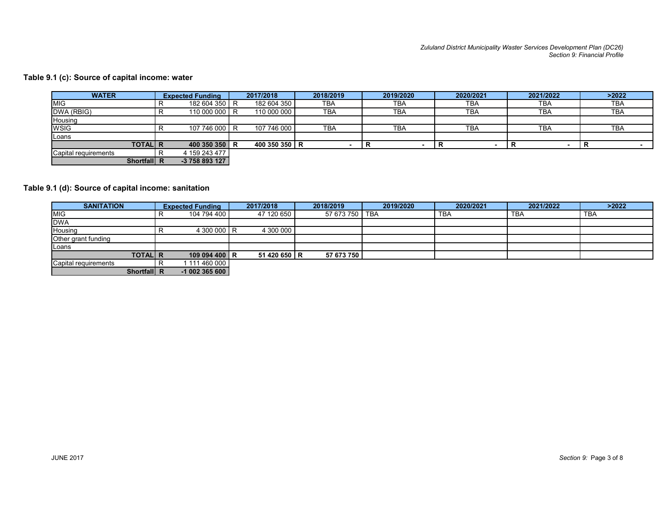#### Table 9.1 (c): Source of capital income: water

|                                              |                                     |               |                |                                   |             | Zululand District Municipality Waster Services Development Plan (DC26) | Section 9: Financial Profile |
|----------------------------------------------|-------------------------------------|---------------|----------------|-----------------------------------|-------------|------------------------------------------------------------------------|------------------------------|
|                                              |                                     |               |                |                                   |             |                                                                        |                              |
|                                              |                                     |               |                |                                   |             |                                                                        |                              |
| .1 (c): Source of capital income: water      |                                     |               |                |                                   |             |                                                                        |                              |
| <b>WATER</b>                                 | <b>Expected Funding</b>             | 2017/2018     | 2018/2019      | 2019/2020                         | 2020/2021   | 2021/2022                                                              | $>2022$                      |
| <b>MIG</b>                                   | 182 604 350 R<br>R                  | 182 604 350   | <b>TBA</b>     | <b>TBA</b>                        | <b>TBA</b>  | <b>TBA</b>                                                             | <b>TBA</b>                   |
| DWA (RBIG)                                   | R.<br>110 000 000 R                 | 110 000 000   | <b>TBA</b>     | <b>TBA</b>                        | <b>TBA</b>  | <b>TBA</b>                                                             | TBA                          |
| Housing                                      |                                     |               |                |                                   |             |                                                                        |                              |
| <b>WSIG</b>                                  | 107 746 000 R<br>R                  | 107 746 000   | <b>TBA</b>     | <b>TBA</b>                        | <b>TBA</b>  | TBA                                                                    | <b>TBA</b>                   |
| Loans                                        |                                     |               |                |                                   |             |                                                                        |                              |
|                                              | 400 350 350 R                       | 400 350 350 R | $\sim$         | $\overline{\mathbf{R}}$<br>$\sim$ | R<br>$\sim$ | R<br>$\sim$                                                            | R                            |
| <b>TOTAL R</b>                               |                                     |               |                |                                   |             |                                                                        |                              |
| Capital requirements                         | 4 159 243 477<br>R                  |               |                |                                   |             |                                                                        |                              |
| Shortfall R                                  | -3 758 893 127                      |               |                |                                   |             |                                                                        |                              |
|                                              |                                     |               |                |                                   |             |                                                                        |                              |
|                                              |                                     |               |                |                                   |             |                                                                        |                              |
| .1 (d): Source of capital income: sanitation |                                     |               |                |                                   |             |                                                                        |                              |
|                                              |                                     |               |                |                                   |             |                                                                        |                              |
| <b>SANITATION</b>                            | <b>Expected Funding</b><br>R        | 2017/2018     | 2018/2019      | 2019/2020                         | 2020/2021   | 2021/2022                                                              | $>2022$                      |
| MIG                                          | 104 794 400                         | 47 120 650    | 57 673 750 TBA |                                   | <b>TBA</b>  | <b>TBA</b>                                                             | <b>TBA</b>                   |
| <b>DWA</b><br>Housing                        | 4 300 000 R<br>R.                   | 4 300 000     |                |                                   |             |                                                                        |                              |
| Other grant funding                          |                                     |               |                |                                   |             |                                                                        |                              |
| Loans                                        |                                     |               |                |                                   |             |                                                                        |                              |
| <b>TOTAL R</b><br>Capital requirements       | 109 094 400 R<br>R<br>1 111 460 000 | 51 420 650 R  | 57 673 750     |                                   |             |                                                                        |                              |

### Table 9.1 (d): Source of capital income: sanitation

| <b>WATER</b>                                                                        |              | <b>Expected Funding</b>        | 2017/2018     | 2018/2019  | 2019/2020     | 2020/2021             | 2021/2022                     | >2022       |
|-------------------------------------------------------------------------------------|--------------|--------------------------------|---------------|------------|---------------|-----------------------|-------------------------------|-------------|
| <b>MIG</b>                                                                          | R            | 182 604 350 R                  | 182 604 350   | <b>TBA</b> | <b>TBA</b>    | <b>TBA</b>            | <b>TBA</b>                    | <b>TBA</b>  |
| DWA (RBIG)                                                                          | $\mathsf{R}$ | 110 000 000 R                  | 110 000 000   | <b>TBA</b> | <b>TBA</b>    | <b>TBA</b>            | <b>TBA</b>                    | <b>TBA</b>  |
| Housing                                                                             |              |                                |               |            |               |                       |                               |             |
| <b>WSIG</b>                                                                         | $\mathsf{R}$ | 107 746 000 R                  | 107 746 000   | <b>TBA</b> | <b>TBA</b>    | <b>TBA</b>            | <b>TBA</b>                    | <b>TBA</b>  |
| Loans<br><b>TOTAL R</b>                                                             |              | 400 350 350 R                  | 400 350 350 R | $\sim$     | IR.<br>$\sim$ | $\mathbf R$<br>$\sim$ | $\mathbf R$<br>$\blacksquare$ | $\mathbf R$ |
| Capital requirements                                                                | R            | 4 159 243 477                  |               |            |               |                       |                               |             |
|                                                                                     |              |                                |               |            |               |                       |                               |             |
| Shortfall R                                                                         |              | -3 758 893 127                 |               |            |               |                       |                               |             |
|                                                                                     |              |                                |               |            |               |                       |                               |             |
| <b>SANITATION</b>                                                                   |              | <b>Expected Funding</b>        | 2017/2018     | 2018/2019  | 2019/2020     | 2020/2021             | 2021/2022                     | >2022       |
|                                                                                     | $\mathsf{R}$ | 104 794 400                    | 47 120 650    | 57 673 750 | <b>TBA</b>    | <b>TBA</b>            | <b>TBA</b>                    | <b>TBA</b>  |
|                                                                                     |              |                                |               |            |               |                       |                               |             |
| .1 (d): Source of capital income: sanitation<br><b>MIG</b><br><b>DWA</b><br>Housing | $\mathsf{R}$ | 4 300 000 R                    | 4 300 000     |            |               |                       |                               |             |
| Other grant funding                                                                 |              |                                |               |            |               |                       |                               |             |
| Loans                                                                               |              |                                |               |            |               |                       |                               |             |
| <b>TOTAL R</b><br>Capital requirements                                              | R            | 109 094 400 R<br>1 111 460 000 | 51 420 650 R  | 57 673 750 |               |                       |                               |             |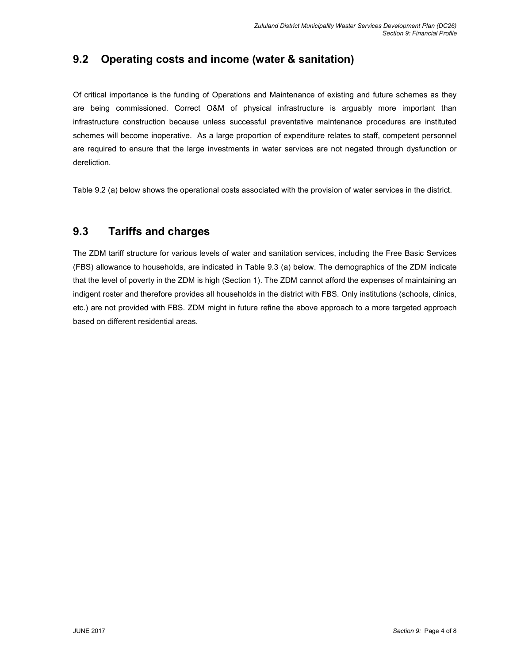## 9.2 Operating costs and income (water & sanitation)

Of critical importance is the funding of Operations and Maintenance of existing and future schemes as they are being commissioned. Correct O&M of physical infrastructure is arguably more important than infrastructure construction because unless successful preventative maintenance procedures are instituted schemes will become inoperative. As a large proportion of expenditure relates to staff, competent personnel are required to ensure that the large investments in water services are not negated through dysfunction or dereliction.

Table 9.2 (a) below shows the operational costs associated with the provision of water services in the district.

### 9.3 Tariffs and charges

The ZDM tariff structure for various levels of water and sanitation services, including the Free Basic Services (FBS) allowance to households, are indicated in Table 9.3 (a) below. The demographics of the ZDM indicate that the level of poverty in the ZDM is high (Section 1). The ZDM cannot afford the expenses of maintaining an indigent roster and therefore provides all households in the district with FBS. Only institutions (schools, clinics, etc.) are not provided with FBS. ZDM might in future refine the above approach to a more targeted approach based on different residential areas.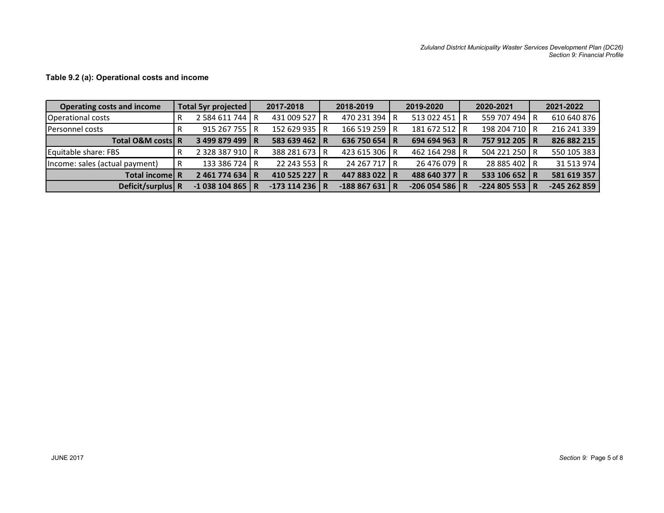|                                                  |                                    |                                 |                               |   |                                | Zululand District Municipality Waster Services Development Plan (DC26) |                              |
|--------------------------------------------------|------------------------------------|---------------------------------|-------------------------------|---|--------------------------------|------------------------------------------------------------------------|------------------------------|
|                                                  |                                    |                                 |                               |   |                                |                                                                        | Section 9: Financial Profile |
|                                                  |                                    |                                 |                               |   |                                |                                                                        |                              |
| Table 9.2 (a): Operational costs and income      |                                    |                                 |                               |   |                                |                                                                        |                              |
|                                                  |                                    |                                 |                               |   |                                |                                                                        |                              |
| <b>Operating costs and income</b>                | Total 5yr projected                | 2017-2018<br>431 009 527 R      | 2018-2019                     |   | 2019-2020                      | 2020-2021<br>559 707 494 R                                             | 2021-2022<br>610 640 876     |
|                                                  |                                    |                                 | 470 231 394<br>166 519 259 R  | R | 513 022 451 R<br>181 672 512 R | 198 204 710 R                                                          | 216 241 339                  |
|                                                  | $\mathsf{R}$<br>2 584 611 744 R    |                                 |                               |   |                                | 757 912 205   R                                                        | 826 882 215                  |
| Operational costs<br>Personnel costs             | 915 267 755 R<br>R.                | 152 629 935 R                   |                               |   |                                |                                                                        |                              |
| Total O&M costs R                                | 3 499 879 499 R                    | 583 639 462 R                   | 636 750 654 R                 |   | 694 694 963   R                |                                                                        |                              |
| Equitable share: FBS                             | 2 328 387 910 R<br>R               | 388 281 673 R                   | 423 615 306 R                 |   | 462 164 298 R                  | 504 221 250 R                                                          | 550 105 383                  |
| Income: sales (actual payment)<br>Total income R | 133 386 724 R<br>R<br>2461774634 R | 22 243 553 R<br>410 525 227   R | 24 267 717 R<br>447 883 022 R |   | 26 476 079 R<br>488 640 377 R  | 28 885 402 R<br>533 106 652 R                                          | 31 513 974<br>581 619 357    |

#### Table 9.2 (a): Operational costs and income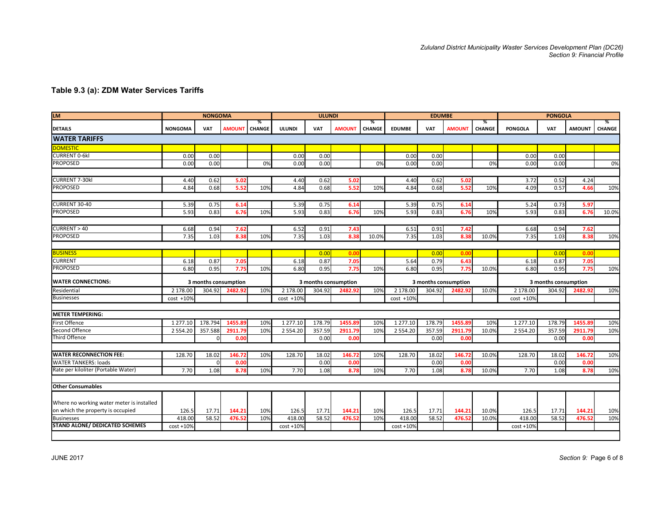| Table 9.3 (a): ZDM Water Services Tariffs                     |                |                |                         |               |               |               |                      |                 |               |                      |               |               | Zululand District Municipality Waster Services Development Plan (DC26) |                      |                              |        |
|---------------------------------------------------------------|----------------|----------------|-------------------------|---------------|---------------|---------------|----------------------|-----------------|---------------|----------------------|---------------|---------------|------------------------------------------------------------------------|----------------------|------------------------------|--------|
|                                                               |                |                |                         |               |               |               |                      |                 |               |                      |               |               |                                                                        |                      |                              |        |
|                                                               |                |                |                         |               |               |               |                      |                 |               |                      |               |               |                                                                        |                      | Section 9: Financial Profile |        |
|                                                               |                |                |                         |               |               |               |                      |                 |               |                      |               |               |                                                                        |                      |                              |        |
|                                                               |                |                |                         |               |               |               |                      |                 |               |                      |               |               |                                                                        |                      |                              |        |
|                                                               |                |                |                         |               |               |               |                      |                 |               |                      |               |               |                                                                        |                      |                              |        |
|                                                               |                |                |                         |               |               |               |                      |                 |               |                      |               |               |                                                                        |                      |                              |        |
|                                                               |                |                |                         |               |               |               |                      |                 |               |                      |               |               |                                                                        |                      |                              |        |
| <b>LM</b>                                                     |                | <b>NONGOMA</b> |                         | ℅             |               | <b>ULUNDI</b> |                      | %               |               | <b>EDUMBE</b>        |               | %             |                                                                        | <b>PONGOLA</b>       |                              | %      |
| <b>DETAILS</b>                                                | <b>NONGOMA</b> | VAT            | <b>IMOUNT</b>           | <b>CHANGE</b> | <b>ULUNDI</b> | VAT           | <b>AMOUNT</b>        | CHANGE          | <b>EDUMBE</b> | VAT                  | <b>AMOUNT</b> | <b>CHANGE</b> | <b>PONGOLA</b>                                                         | VAT                  | <b>AMOUNT</b>                | CHANGE |
| <b>WATER TARIFFS</b>                                          |                |                |                         |               |               |               |                      |                 |               |                      |               |               |                                                                        |                      |                              |        |
| <b>DOMESTIC</b><br><b>CURRENT 0-6kl</b>                       | 0.00           | 0.00           |                         |               | 0.00          | 0.00          |                      |                 | 0.00          | 0.00                 |               |               | 0.00                                                                   | 0.00                 |                              |        |
| PROPOSED                                                      | 0.00           | 0.00           |                         | 0%            | 0.00          | 0.00          |                      | 0%              | 0.00          | 0.00                 |               | 0%            | 0.00                                                                   | 0.00                 |                              | 0%     |
|                                                               |                |                |                         |               |               |               |                      |                 |               |                      |               |               |                                                                        |                      |                              |        |
| CURRENT 7-30kl<br><b>PROPOSED</b>                             | 4.40<br>4.84   | 0.62<br>0.68   | 5.02<br>5.52            | 10%           | 4.40<br>4.84  | 0.62<br>0.68  | 5.02<br>5.52         | 10%             | 4.40<br>4.84  | 0.62<br>0.68         | 5.02<br>5.52  | 10%           | 3.72<br>4.09                                                           | 0.52<br>0.57         | 4.24<br>4.66                 | 10%    |
|                                                               |                |                |                         |               |               |               |                      |                 |               |                      |               |               |                                                                        |                      |                              |        |
| CURRENT 30-40                                                 | 5.39           | 0.75           | 6.14                    |               | 5.39          | 0.75          | 6.14                 |                 | 5.39          | 0.75                 | 6.14          |               | 5.24                                                                   | 0.73                 | 5.97                         |        |
| <b>PROPOSED</b>                                               | 5.93           | 0.83           | 6.76                    | 10%           | 5.93          | 0.83          | 6.76                 | 10%             | 5.93          | 0.83                 | 6.76          | 10%           | 5.93                                                                   | 0.83                 | 6.76                         | 10.0%  |
| CURRENT > 40                                                  | 6.68           | 0.94           | 7.62                    |               | 6.52          | 0.91          | 7.43                 |                 | 6.51          | 0.91                 | 7.42          |               | 6.68                                                                   | 0.94                 | 7.62                         |        |
| <b>PROPOSED</b>                                               | 7.35           | 1.03           | 8.38                    | 10%           | 7.35          | 1.03          | 8.38                 | 10.0%           | 7.35          | 1.03                 | 8.38          | 10.0%         | 7.35                                                                   | 1.03                 | 8.38                         | 10%    |
|                                                               |                |                |                         |               |               |               |                      |                 |               |                      |               |               |                                                                        |                      |                              |        |
| <b>BUSINESS</b><br><b>CURRENT</b>                             | 6.18           | 0.87           | 7.05                    |               | 6.18          | 0.00<br>0.87  | 0.00<br>7.05         |                 | 5.64          | 0.00<br>0.79         | 0.00<br>6.43  |               | 6.18                                                                   | 0.00<br>0.87         | 0.00<br>7.05                 |        |
| PROPOSED                                                      | 6.80           | 0.95           | 7.75                    | 10%           | 6.80          | 0.95          | 7.75                 | 10%             | 6.80          | 0.95                 | 7.75          | 10.0%         | 6.80                                                                   | 0.95                 | 7.75                         | 10%    |
| <b>WATER CONNECTIONS:</b>                                     |                |                | 3 months consumption    |               |               |               | 3 months consumption |                 |               | 3 months consumption |               |               |                                                                        | 3 months consumption |                              |        |
| Residential                                                   |                |                | 2 178.00 304.92 2482.92 | 10%           | 2 178.00      | 304.92        | 2482.92              | 10%             | 2 178.00      | 304.92               | 2482.92       | 10.0%         | 2 178.00                                                               |                      | 304.92 2482.92               | 10%    |
| <b>Businesses</b>                                             | $cost +10%$    |                |                         |               | cost +10%     |               |                      |                 | $cost +10%$   |                      |               |               | $cost + 10%$                                                           |                      |                              |        |
|                                                               |                |                |                         |               |               |               |                      |                 |               |                      |               |               |                                                                        |                      |                              |        |
| <b>METER TEMPERING:</b><br>First Offence                      | 1 277.10       | 178.794        | 1455.8                  | 10%           | 1 277.10      | 178.79        | 1455.8               | 10%             | 1 277.10      | 178.79               | 1455.8        | 10%           | 1 277.10                                                               | 178.79               | 1455.89                      | 10%    |
| Second Offence                                                | 2 5 5 4 . 2 0  | 357.588        | 2911.7                  | 10%           | 2 5 5 4 . 2 0 | 357.5         | 2911.7               | 10 <sub>2</sub> | 2 5 5 4 . 2 0 | 357.59               | 2911.7        | 10.0%         | 2 5 5 4 . 2 0                                                          | 357.59               | 2911.7                       | 10%    |
| Third Offence                                                 |                |                | 0.00                    |               |               | 0.00          | 0.00                 |                 |               | 0.00                 | 0.00          |               |                                                                        | 0.00                 | 0.00                         |        |
|                                                               |                |                |                         |               |               |               |                      |                 |               |                      |               |               |                                                                        |                      |                              |        |
| <b>WATER RECONNECTION FEE:</b><br><b>WATER TANKERS: loads</b> | 128.70         | 18.02          | 146.72<br>0.00          | 10%           | 128.70        | 18.02<br>0.00 | 146.72<br>0.00       | 10%             | 128.70        | 18.02<br>0.00        | 146.72        | 10.0%         | 128.70                                                                 | 18.02                | 146.72<br>0.00               | 10%    |
| Rate per kiloliter (Portable Water)                           | 7.70           | 1.08           | 8.78                    | 10%           | 7.70          | 1.08          | 8.78                 | 10%             | 7.70          | 1.08                 | 0.00<br>8.78  | 10.0%         | 7.70                                                                   | 0.00<br>1.08         | 8.78                         | 10%    |
|                                                               |                |                |                         |               |               |               |                      |                 |               |                      |               |               |                                                                        |                      |                              |        |
| <b>Other Consumables</b>                                      |                |                |                         |               |               |               |                      |                 |               |                      |               |               |                                                                        |                      |                              |        |
| Where no working water meter is installed                     |                |                |                         |               |               |               |                      |                 |               |                      |               |               |                                                                        |                      |                              |        |
| on which the property is occupied                             | 126.5          | 17.71          | 144.21                  | 10%           | 126.5         | 17.71         | 144.21               | 10%             | 126.5         | 17.71                | 144.21        | 10.0%         | 126.5                                                                  | 17.71                | 144.21                       | 10%    |
| <b>Businesses</b>                                             | 418.00         | 58.52          | 476.52                  | 10%           | 418.00        | 58.52         | 476.5                | 10%             | 418.00        | 58.52                | 476.52        | 10.0%         | 418.00                                                                 | 58.52                | 476.52                       | 10%    |
| STAND ALONE/ DEDICATED SCHEMES                                | $cost + 10%$   |                |                         |               | $cost + 10%$  |               |                      |                 | $cost + 10%$  |                      |               |               | $cost + 10%$                                                           |                      |                              |        |

### Table 9.3 (a): ZDM Water Services Tariffs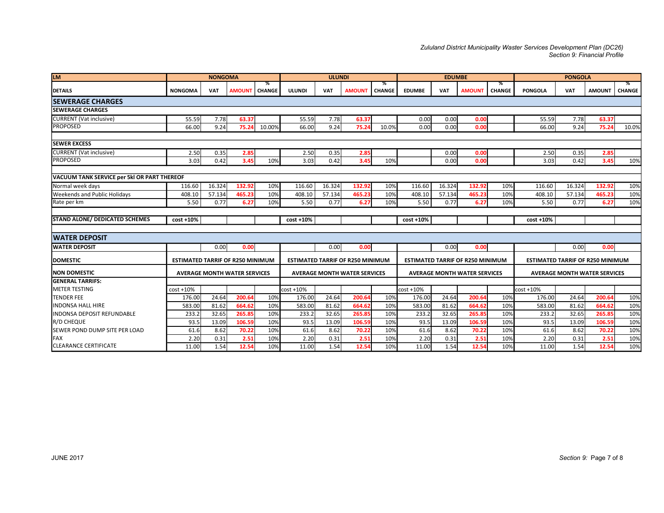#### Zululand District Municipality Waster Services Development Plan (DC26) Section 9: Financial Profile

|                                                                             |                                         |                |                                     |                    |               |               |                                                 |                    |                                         |               |                                     |                    | Zululand District Municipality Waster Services Development Plan (DC26) |                | Section 9: Financial Profile        |       |
|-----------------------------------------------------------------------------|-----------------------------------------|----------------|-------------------------------------|--------------------|---------------|---------------|-------------------------------------------------|--------------------|-----------------------------------------|---------------|-------------------------------------|--------------------|------------------------------------------------------------------------|----------------|-------------------------------------|-------|
|                                                                             |                                         |                |                                     |                    |               |               |                                                 |                    |                                         |               |                                     |                    |                                                                        |                |                                     |       |
| <b>LM</b>                                                                   |                                         | <b>NONGOMA</b> |                                     |                    |               | <b>ULUNDI</b> |                                                 |                    |                                         | <b>EDUMBE</b> |                                     |                    |                                                                        | <b>PONGOLA</b> |                                     |       |
| <b>DETAILS</b>                                                              | <b>NONGOMA</b>                          | VAT            | <b>AMOUN1</b>                       | %<br><b>CHANGE</b> | ULUNDI        | VAT           | <b>AMOUNT</b>                                   | ℅<br><b>CHANGE</b> | <b>EDUMBE</b>                           | VAT           | <b>AMOUNT</b>                       | %<br><b>CHANGE</b> | <b>PONGOLA</b>                                                         | VAT            | AMOUNT   CHANGE                     | ℅     |
| <b>SEWERAGE CHARGES</b>                                                     |                                         |                |                                     |                    |               |               |                                                 |                    |                                         |               |                                     |                    |                                                                        |                |                                     |       |
| <b>SEWERAGE CHARGES</b>                                                     |                                         |                |                                     |                    |               |               |                                                 |                    |                                         |               |                                     |                    |                                                                        |                |                                     |       |
| <b>CURRENT</b> (Vat inclusive)                                              | 55.59                                   | 7.78           | 63.3                                |                    | 55.59         | 7.78          | 63.37                                           |                    | 0.00                                    | 0.00          | 0.00                                |                    | 55.59                                                                  | 7.78           | 63.37                               |       |
| <b>PROPOSED</b>                                                             | 66.00                                   | 9.24           | 75.24                               | 10.00%             | 66.00         | 9.24          | 75.24                                           | 10.0%              | 0.00                                    | 0.00          | 0.00                                |                    | 66.00                                                                  | 9.24           | 75.24                               | 10.0% |
|                                                                             |                                         |                |                                     |                    |               |               |                                                 |                    |                                         |               |                                     |                    |                                                                        |                |                                     |       |
| <b>SEWER EXCESS</b>                                                         |                                         |                |                                     |                    |               |               |                                                 |                    |                                         |               |                                     |                    |                                                                        |                |                                     |       |
| <b>CURRENT</b> (Vat inclusive)<br><b>PROPOSED</b>                           | 2.50<br>3.03                            | 0.35<br>0.42   | 2.85<br>3.45                        | 10%                | 2.50<br>3.03  | 0.35<br>0.42  | 2.85<br>3.45                                    | 10%                |                                         | 0.00<br>0.00  | 0.00<br>0.00                        |                    | 2.50<br>3.03                                                           | 0.35<br>0.42   | 2.8!<br>3.45                        | 10%   |
|                                                                             |                                         |                |                                     |                    |               |               |                                                 |                    |                                         |               |                                     |                    |                                                                        |                |                                     |       |
| <b>VACUUM TANK SERVICE per 5kl OR PART THEREOF</b>                          |                                         |                |                                     |                    |               |               |                                                 |                    |                                         |               |                                     |                    |                                                                        |                |                                     |       |
| Normal week days                                                            | 116.60                                  | 16.324         | 132.92                              | 10%                | 116.60        | 16.324        | 132.92                                          | 10%                | 116.60                                  | 16.324        | 132.92                              | 10%                | 116.60                                                                 | 16.324         | 132.92                              | 10%   |
| Weekends and Public Holidays                                                | 408.10                                  | 57.134         | 465.23                              | 10%                | 408.10        | 57.134        | 465.23                                          | 10%                | 408.10                                  | 57.134        | 465.23                              | 10%                | 408.10                                                                 | 57.134         | 465.23                              | 10%   |
| Rate per km                                                                 | 5.50                                    | 0.77           | 6.27                                | 10%                | 5.50          | 0.77          | 6.27                                            | 10%                | 5.50                                    | 0.77          | 6.27                                | 10%                | 5.50                                                                   | 0.77           | 6.27                                | 10%   |
|                                                                             |                                         |                |                                     |                    |               |               |                                                 |                    |                                         |               |                                     |                    |                                                                        |                |                                     |       |
| <b>STAND ALONE/ DEDICATED SCHEMES</b>                                       | $cost + 10%$                            |                |                                     |                    | cost +10%     |               |                                                 |                    | $cost + 10%$                            |               |                                     |                    | cost +10%                                                              |                |                                     |       |
| <b>WATER DEPOSIT</b>                                                        |                                         |                |                                     |                    |               |               |                                                 |                    |                                         |               |                                     |                    |                                                                        |                |                                     |       |
| <b>WATER DEPOSIT</b>                                                        |                                         |                |                                     |                    |               |               |                                                 |                    |                                         |               |                                     |                    |                                                                        |                |                                     |       |
| <b>DOMESTIC</b>                                                             | <b>ESTIMATED TARRIF OF R250 MINIMUM</b> | 0.00           | 0.00                                |                    |               | 0.00          | 0.00<br><b>ESTIMATED TARRIF OF R250 MINIMUM</b> |                    | <b>ESTIMATED TARRIF OF R250 MINIMUM</b> | 0.00          | 0.00                                |                    | <b>ESTIMATED TARRIF OF R250 MINIMUM</b>                                | 0.00           | 0.00                                |       |
| NON DOMESTIC                                                                |                                         |                |                                     |                    |               |               | <b>AVERAGE MONTH WATER SERVICES</b>             |                    |                                         |               |                                     |                    |                                                                        |                |                                     |       |
| <b>GENERAL TARRIFS:</b>                                                     |                                         |                | <b>AVERAGE MONTH WATER SERVICES</b> |                    |               |               |                                                 |                    |                                         |               | <b>AVERAGE MONTH WATER SERVICES</b> |                    |                                                                        |                | <b>AVERAGE MONTH WATER SERVICES</b> |       |
| METER TESTING                                                               | $cost + 10%$                            |                |                                     |                    | cost +10%     |               |                                                 |                    | $cost + 10%$                            |               |                                     |                    | $cost + 10%$                                                           |                |                                     |       |
| TENDER FEE                                                                  | 176.00                                  | 24.64          | 200.64                              | 10%                | 176.00        | 24.64         | 200.64                                          | 10%                | 176.00                                  | 24.64         | 200.6                               | 10%                | 176.00                                                                 | 24.64          | 200.64                              | 10%   |
| INDONSA HALL HIRE                                                           | 583.00                                  | 81.62          | 664.6                               | 10%                | 583.00        | 81.62         | 664.62                                          | 10%                | 583.00                                  | 81.62         | 664.62                              | 10%                | 583.00                                                                 | 81.62          | 664.6                               | 10%   |
| INDONSA DEPOSIT REFUNDABLE                                                  | 233.2                                   | 32.65          | 265.8                               | 10%                | 233.2         | 32.65         | 265.8                                           | 10%                | 233.2                                   | 32.65         | 265.8                               | 10%                | 233.2                                                                  | 32.65          | 265.8                               | 10%   |
| R/D CHEQUE                                                                  | 93.5                                    | 13.09          | 106.59                              | 10%                | 93.5          | 13.09         | 106.59                                          | 10%                | 93.5                                    | 13.09         | 106.59                              | 10%                | 93.5                                                                   | 13.09          | 106.59                              | 10%   |
|                                                                             |                                         | 8.62           | 70.22                               | 10%                | 61.6          | 8.62          | 70.22                                           | 10%                | 61.6                                    | 8.62          | 70.22                               | 10%                | 61.6                                                                   | 8.62<br>0.31   | 70.22                               | 10%   |
|                                                                             | 61.6                                    |                |                                     |                    |               |               |                                                 |                    | 2.20                                    |               |                                     |                    | 2.20                                                                   |                | 2.51                                | 10%   |
| SEWER POND DUMP SITE PER LOAD<br><b>FAX</b><br><b>CLEARANCE CERTIFICATE</b> | 2.20<br>11.00                           | 0.31<br>1.54   | 2.51<br>12.54                       | 10%<br>10%         | 2.20<br>11.00 | 0.31<br>1.54  | 2.51<br>12.54                                   | 10%<br>10%         | 11.00                                   | 0.31<br>1.54  | 2.51<br>12.54                       | 10%<br>10%         | 11.00                                                                  | 1.54           | 12.54                               | 10%   |